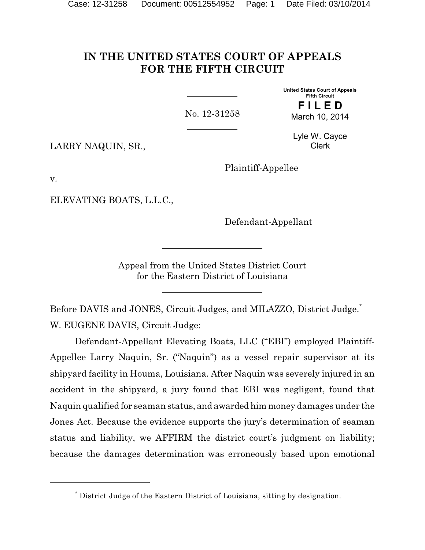# **IN THE UNITED STATES COURT OF APPEALS FOR THE FIFTH CIRCUIT**

No. 12-31258

**Fifth Circuit F I L E D** March 10, 2014

**United States Court of Appeals**

LARRY NAQUIN, SR.,

Lyle W. Cayce Clerk

Plaintiff-Appellee

v.

ELEVATING BOATS, L.L.C.,

Defendant-Appellant

Appeal from the United States District Court for the Eastern District of Louisiana

Before DAVIS and JONES, Circuit Judges, and MILAZZO, District Judge.<sup>\*</sup> W. EUGENE DAVIS, Circuit Judge:

Defendant-Appellant Elevating Boats, LLC ("EBI") employed Plaintiff-Appellee Larry Naquin, Sr. ("Naquin") as a vessel repair supervisor at its shipyard facility in Houma, Louisiana. After Naquin was severely injured in an accident in the shipyard, a jury found that EBI was negligent, found that Naquin qualified for seaman status, and awarded him money damages under the Jones Act. Because the evidence supports the jury's determination of seaman status and liability, we AFFIRM the district court's judgment on liability; because the damages determination was erroneously based upon emotional

<sup>\*</sup> District Judge of the Eastern District of Louisiana, sitting by designation.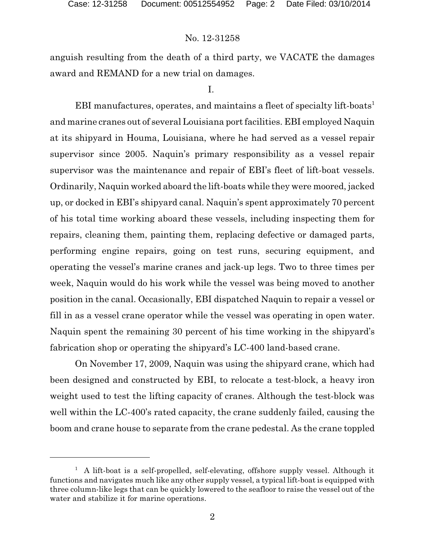anguish resulting from the death of a third party, we VACATE the damages award and REMAND for a new trial on damages.

#### I.

EBI manufactures, operates, and maintains a fleet of specialty lift-boats<sup>1</sup> and marine cranes out of several Louisiana port facilities. EBI employed Naquin at its shipyard in Houma, Louisiana, where he had served as a vessel repair supervisor since 2005. Naquin's primary responsibility as a vessel repair supervisor was the maintenance and repair of EBI's fleet of lift-boat vessels. Ordinarily, Naquin worked aboard the lift-boats while they were moored, jacked up, or docked in EBI's shipyard canal. Naquin's spent approximately 70 percent of his total time working aboard these vessels, including inspecting them for repairs, cleaning them, painting them, replacing defective or damaged parts, performing engine repairs, going on test runs, securing equipment, and operating the vessel's marine cranes and jack-up legs. Two to three times per week, Naquin would do his work while the vessel was being moved to another position in the canal. Occasionally, EBI dispatched Naquin to repair a vessel or fill in as a vessel crane operator while the vessel was operating in open water. Naquin spent the remaining 30 percent of his time working in the shipyard's fabrication shop or operating the shipyard's LC-400 land-based crane.

On November 17, 2009, Naquin was using the shipyard crane, which had been designed and constructed by EBI, to relocate a test-block, a heavy iron weight used to test the lifting capacity of cranes. Although the test-block was well within the LC-400's rated capacity, the crane suddenly failed, causing the boom and crane house to separate from the crane pedestal. As the crane toppled

 $<sup>1</sup>$  A lift-boat is a self-propelled, self-elevating, offshore supply vessel. Although it</sup> functions and navigates much like any other supply vessel, a typical lift-boat is equipped with three column-like legs that can be quickly lowered to the seafloor to raise the vessel out of the water and stabilize it for marine operations.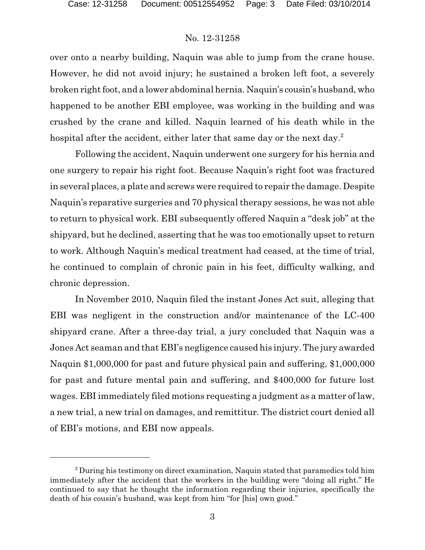over onto a nearby building, Naquin was able to jump from the crane house. However, he did not avoid injury; he sustained a broken left foot, a severely broken right foot, and a lower abdominal hernia. Naquin's cousin's husband, who happened to be another EBI employee, was working in the building and was crushed by the crane and killed. Naquin learned of his death while in the hospital after the accident, either later that same day or the next day.<sup>2</sup>

Following the accident, Naquin underwent one surgery for his hernia and one surgery to repair his right foot. Because Naquin's right foot was fractured in several places, a plate and screws were required to repair the damage. Despite Naquin's reparative surgeries and 70 physical therapy sessions, he was not able to return to physical work. EBI subsequently offered Naquin a "desk job" at the shipyard, but he declined, asserting that he was too emotionally upset to return to work. Although Naquin's medical treatment had ceased, at the time of trial, he continued to complain of chronic pain in his feet, difficulty walking, and chronic depression.

In November 2010, Naquin filed the instant Jones Act suit, alleging that EBI was negligent in the construction and/or maintenance of the LC-400 shipyard crane. After a three-day trial, a jury concluded that Naquin was a Jones Act seaman and that EBI's negligence caused his injury. The jury awarded Naquin \$1,000,000 for past and future physical pain and suffering, \$1,000,000 for past and future mental pain and suffering, and \$400,000 for future lost wages. EBI immediately filed motions requesting a judgment as a matter of law, a new trial, a new trial on damages, and remittitur. The district court denied all of EBI's motions, and EBI now appeals.

<sup>&</sup>lt;sup>2</sup> During his testimony on direct examination, Naquin stated that paramedics told him immediately after the accident that the workers in the building were "doing all right." He continued to say that he thought the information regarding their injuries, specifically the death of his cousin's husband, was kept from him "for [his] own good."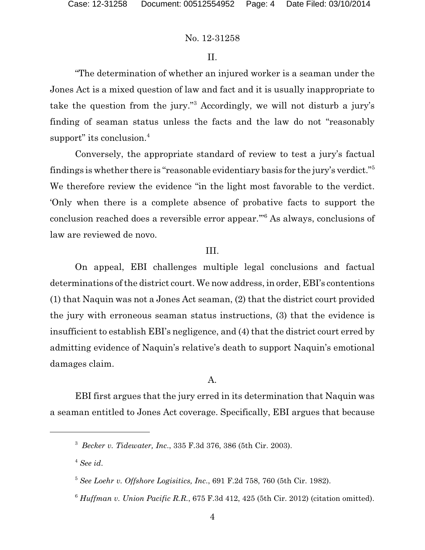#### II.

"The determination of whether an injured worker is a seaman under the Jones Act is a mixed question of law and fact and it is usually inappropriate to take the question from the jury."<sup>3</sup> Accordingly, we will not disturb a jury's finding of seaman status unless the facts and the law do not "reasonably support" its conclusion.<sup>4</sup>

Conversely, the appropriate standard of review to test a jury's factual findings is whether there is "reasonable evidentiary basis for the jury's verdict."<sup>5</sup> We therefore review the evidence "in the light most favorable to the verdict. 'Only when there is a complete absence of probative facts to support the conclusion reached does a reversible error appear.'"<sup>6</sup> As always, conclusions of law are reviewed de novo.

#### III.

On appeal, EBI challenges multiple legal conclusions and factual determinations of the district court. We now address, in order, EBI's contentions (1) that Naquin was not a Jones Act seaman, (2) that the district court provided the jury with erroneous seaman status instructions, (3) that the evidence is insufficient to establish EBI's negligence, and (4) that the district court erred by admitting evidence of Naquin's relative's death to support Naquin's emotional damages claim.

## A.

EBI first argues that the jury erred in its determination that Naquin was a seaman entitled to Jones Act coverage. Specifically, EBI argues that because

<sup>4</sup> *See id*.

<sup>3</sup> *Becker v. Tidewater, Inc*., 335 F.3d 376, 386 (5th Cir. 2003).

<sup>5</sup> *See Loehr v. Offshore Logisitics, Inc*., 691 F.2d 758, 760 (5th Cir. 1982).

<sup>6</sup> *Huffman v. Union Pacific R.R.*, 675 F.3d 412, 425 (5th Cir. 2012) (citation omitted).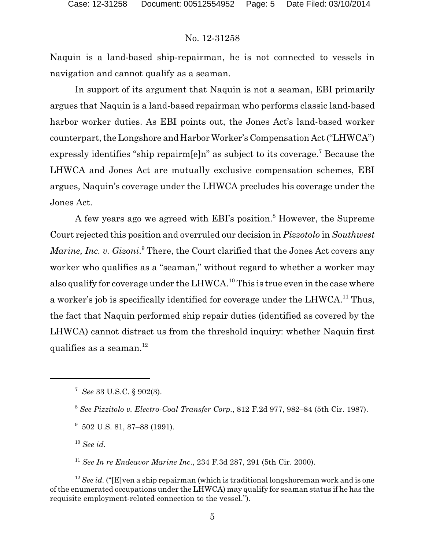Naquin is a land-based ship-repairman, he is not connected to vessels in navigation and cannot qualify as a seaman.

In support of its argument that Naquin is not a seaman, EBI primarily argues that Naquin is a land-based repairman who performs classic land-based harbor worker duties. As EBI points out, the Jones Act's land-based worker counterpart, the Longshore and Harbor Worker's Compensation Act ("LHWCA") expressly identifies "ship repairm[e]n" as subject to its coverage.<sup>7</sup> Because the LHWCA and Jones Act are mutually exclusive compensation schemes, EBI argues, Naquin's coverage under the LHWCA precludes his coverage under the Jones Act.

A few years ago we agreed with EBI's position.<sup>8</sup> However, the Supreme Court rejected this position and overruled our decision in *Pizzotolo* in *Southwest* Marine, Inc. v. Gizoni.<sup>9</sup> There, the Court clarified that the Jones Act covers any worker who qualifies as a "seaman," without regard to whether a worker may also qualify for coverage under the LHWCA.<sup>10</sup> This is true even in the case where a worker's job is specifically identified for coverage under the LHWCA.<sup>11</sup> Thus, the fact that Naquin performed ship repair duties (identified as covered by the LHWCA) cannot distract us from the threshold inquiry: whether Naquin first qualifies as a seaman. $^{12}$ 

<sup>10</sup> *See id*.

<sup>11</sup> *See In re Endeavor Marine Inc*., 234 F.3d 287, 291 (5th Cir. 2000).

<sup>12</sup> *See id.* ("[E]ven a ship repairman (which is traditional longshoreman work and is one ofthe enumerated occupations under the LHWCA) may qualify for seaman status if he has the requisite employment-related connection to the vessel.").

<sup>7</sup> *See* 33 U.S.C. § 902(3).

<sup>8</sup> *See Pizzitolo v. Electro-Coal Transfer Corp.*, 812 F.2d 977, 982–84 (5th Cir. 1987).

<sup>&</sup>lt;sup>9</sup> 502 U.S. 81, 87–88 (1991).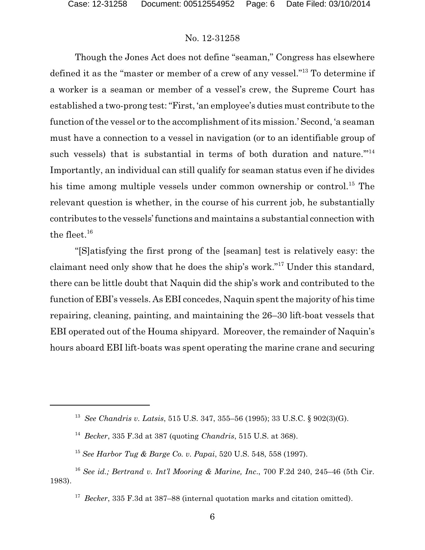Though the Jones Act does not define "seaman," Congress has elsewhere defined it as the "master or member of a crew of any vessel."<sup>13</sup> To determine if a worker is a seaman or member of a vessel's crew, the Supreme Court has established a two-prong test: "First, 'an employee's duties must contribute to the function of the vessel or to the accomplishment of its mission.' Second, 'a seaman must have a connection to a vessel in navigation (or to an identifiable group of such vessels) that is substantial in terms of both duration and nature."<sup>14</sup> Importantly, an individual can still qualify for seaman status even if he divides his time among multiple vessels under common ownership or control.<sup>15</sup> The relevant question is whether, in the course of his current job, he substantially contributes to the vessels'functions and maintains a substantial connection with the fleet. $16$ 

"[S]atisfying the first prong of the [seaman] test is relatively easy: the claimant need only show that he does the ship's work."<sup>17</sup> Under this standard, there can be little doubt that Naquin did the ship's work and contributed to the function of EBI's vessels. As EBI concedes, Naquin spent the majority of his time repairing, cleaning, painting, and maintaining the 26–30 lift-boat vessels that EBI operated out of the Houma shipyard. Moreover, the remainder of Naquin's hours aboard EBI lift-boats was spent operating the marine crane and securing

<sup>13</sup> *See Chandris v. Latsis*, 515 U.S. 347, 355–56 (1995); 33 U.S.C. § 902(3)(G).

<sup>14</sup> *Becker*, 335 F.3d at 387 (quoting *Chandris*, 515 U.S. at 368).

<sup>15</sup> *See Harbor Tug & Barge Co. v. Papai*, 520 U.S. 548, 558 (1997).

<sup>16</sup> *See id.; Bertrand v. Int'l Mooring & Marine, Inc*., 700 F.2d 240, 245–46 (5th Cir. 1983).

<sup>&</sup>lt;sup>17</sup> *Becker*, 335 F.3d at 387–88 (internal quotation marks and citation omitted).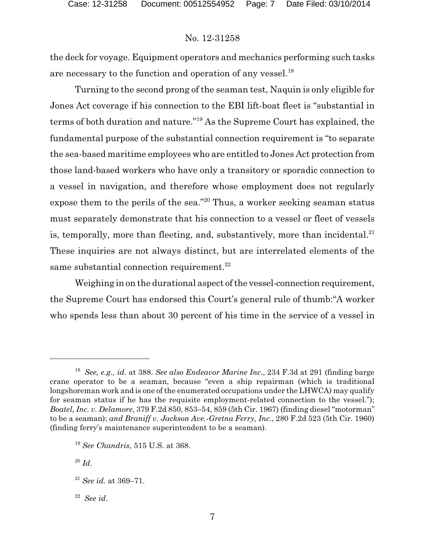the deck for voyage. Equipment operators and mechanics performing such tasks are necessary to the function and operation of any vessel.<sup>18</sup>

Turning to the second prong of the seaman test, Naquin is only eligible for Jones Act coverage if his connection to the EBI lift-boat fleet is "substantial in terms of both duration and nature."<sup>19</sup> As the Supreme Court has explained, the fundamental purpose of the substantial connection requirement is "to separate the sea-based maritime employees who are entitled to Jones Act protection from those land-based workers who have only a transitory or sporadic connection to a vessel in navigation, and therefore whose employment does not regularly expose them to the perils of the sea."<sup>20</sup> Thus, a worker seeking seaman status must separately demonstrate that his connection to a vessel or fleet of vessels is, temporally, more than fleeting, and, substantively, more than incidental. $21$ These inquiries are not always distinct, but are interrelated elements of the same substantial connection requirement.<sup>22</sup>

Weighing in on the durational aspect of the vessel-connection requirement, the Supreme Court has endorsed this Court's general rule of thumb:"A worker who spends less than about 30 percent of his time in the service of a vessel in

<sup>18</sup> *See, e.g., id.* at 388. *See also Endeavor Marine Inc*., 234 F.3d at 291 (finding barge crane operator to be a seaman, because "even a ship repairman (which is traditional longshoreman work and is one of the enumerated occupations under the LHWCA) may qualify for seaman status if he has the requisite employment-related connection to the vessel."); *Boatel, Inc. v. Delamore*, 379 F.2d 850, 853–54, 859 (5th Cir. 1967) (finding diesel "motorman" to be a seaman); *and Braniff v. Jackson Ave.-Gretna Ferry, Inc*., 280 F.2d 523 (5th Cir. 1960) (finding ferry's maintenance superintendent to be a seaman).

<sup>19</sup> *See Chandris*, 515 U.S. at 368.

<sup>20</sup> *Id*.

<sup>21</sup> *See id*. at 369–71.

<sup>22</sup> *See id*.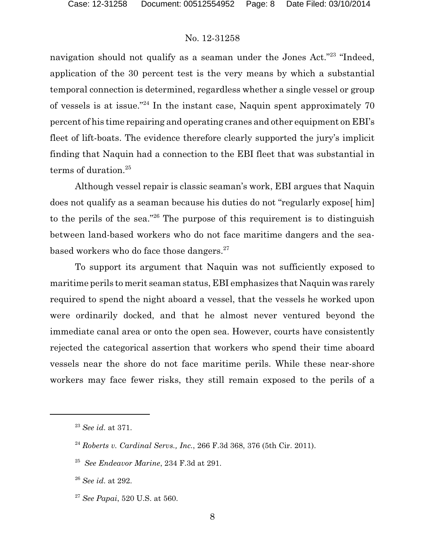navigation should not qualify as a seaman under the Jones Act."<sup>23</sup> "Indeed, application of the 30 percent test is the very means by which a substantial temporal connection is determined, regardless whether a single vessel or group of vessels is at issue."<sup>24</sup> In the instant case, Naquin spent approximately 70 percent of his time repairing and operating cranes and other equipment on EBI's fleet of lift-boats. The evidence therefore clearly supported the jury's implicit finding that Naquin had a connection to the EBI fleet that was substantial in terms of duration.<sup>25</sup>

Although vessel repair is classic seaman's work, EBI argues that Naquin does not qualify as a seaman because his duties do not "regularly expose[ him] to the perils of the sea."<sup>26</sup> The purpose of this requirement is to distinguish between land-based workers who do not face maritime dangers and the seabased workers who do face those dangers. $27$ 

To support its argument that Naquin was not sufficiently exposed to maritime perils to merit seaman status, EBI emphasizes that Naquin was rarely required to spend the night aboard a vessel, that the vessels he worked upon were ordinarily docked, and that he almost never ventured beyond the immediate canal area or onto the open sea. However, courts have consistently rejected the categorical assertion that workers who spend their time aboard vessels near the shore do not face maritime perils. While these near-shore workers may face fewer risks, they still remain exposed to the perils of a

<sup>26</sup> *See id*. at 292.

<sup>27</sup> *See Papai*, 520 U.S. at 560.

<sup>23</sup> *See id*. at 371.

<sup>24</sup> *Roberts v. Cardinal Servs., Inc.*, 266 F.3d 368, 376 (5th Cir. 2011).

<sup>25</sup> *See Endeavor Marine*, 234 F.3d at 291.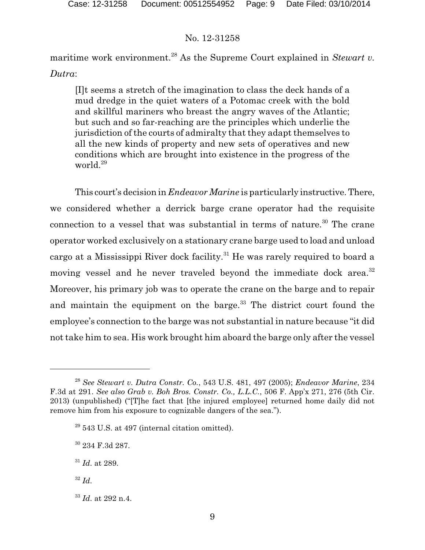maritime work environment.<sup>28</sup> As the Supreme Court explained in *Stewart v*. *Dutra*:

[I]t seems a stretch of the imagination to class the deck hands of a mud dredge in the quiet waters of a Potomac creek with the bold and skillful mariners who breast the angry waves of the Atlantic; but such and so far-reaching are the principles which underlie the jurisdiction of the courts of admiralty that they adapt themselves to all the new kinds of property and new sets of operatives and new conditions which are brought into existence in the progress of the world.<sup>29</sup>

This court's decision in *Endeavor Marine* is particularly instructive.There, we considered whether a derrick barge crane operator had the requisite connection to a vessel that was substantial in terms of nature. $30$  The crane operator worked exclusively on a stationary crane barge used to load and unload cargo at a Mississippi River dock facility.<sup>31</sup> He was rarely required to board a moving vessel and he never traveled beyond the immediate dock area.<sup>32</sup> Moreover, his primary job was to operate the crane on the barge and to repair and maintain the equipment on the barge. $33$  The district court found the employee's connection to the barge was not substantial in nature because "it did not take him to sea. His work brought him aboard the barge only after the vessel

32 *Id*.

<sup>28</sup> *See Stewart v. Dutra Constr. Co.*, 543 U.S. 481, 497 (2005); *Endeavor Marine*, 234 F.3d at 291. *See also Grab v. Boh Bros. Constr. Co., L.L.C.*, 506 F. App'x 271, 276 (5th Cir. 2013) (unpublished) ("[T]he fact that [the injured employee] returned home daily did not remove him from his exposure to cognizable dangers of the sea.").

<sup>29</sup> 543 U.S. at 497 (internal citation omitted).

<sup>30</sup> 234 F.3d 287.

<sup>31</sup> *Id*. at 289.

<sup>33</sup> *Id*. at 292 n.4.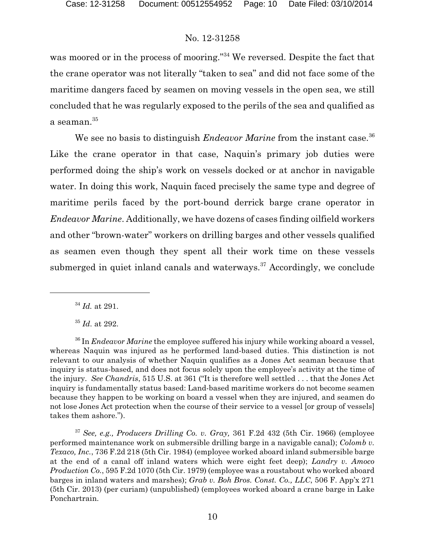was moored or in the process of mooring."<sup>34</sup> We reversed. Despite the fact that the crane operator was not literally "taken to sea" and did not face some of the maritime dangers faced by seamen on moving vessels in the open sea, we still concluded that he was regularly exposed to the perils of the sea and qualified as a seaman. $35$ 

We see no basis to distinguish *Endeavor Marine* from the instant case.<sup>36</sup> Like the crane operator in that case, Naquin's primary job duties were performed doing the ship's work on vessels docked or at anchor in navigable water. In doing this work, Naquin faced precisely the same type and degree of maritime perils faced by the port-bound derrick barge crane operator in *Endeavor Marine*. Additionally, we have dozens of cases finding oilfield workers and other "brown-water" workers on drilling barges and other vessels qualified as seamen even though they spent all their work time on these vessels submerged in quiet inland canals and waterways.<sup>37</sup> Accordingly, we conclude

34 *Id.* at 291.

35 *Id*. at 292.

<sup>36</sup> In *Endeavor Marine* the employee suffered his injury while working aboard a vessel, whereas Naquin was injured as he performed land-based duties. This distinction is not relevant to our analysis of whether Naquin qualifies as a Jones Act seaman because that inquiry is status-based, and does not focus solely upon the employee's activity at the time of the injury. *See Chandris*, 515 U.S. at 361 ("It is therefore well settled . . . that the Jones Act inquiry is fundamentally status based: Land-based maritime workers do not become seamen because they happen to be working on board a vessel when they are injured, and seamen do not lose Jones Act protection when the course of their service to a vessel [or group of vessels] takes them ashore.").

<sup>37</sup> *See, e.g., Producers Drilling Co. v. Gray,* 361 F.2d 432 (5th Cir. 1966) (employee performed maintenance work on submersible drilling barge in a navigable canal); *Colomb v. Texaco, Inc.*, 736 F.2d 218 (5th Cir. 1984) (employee worked aboard inland submersible barge at the end of a canal off inland waters which were eight feet deep); *Landry v. Amoco Production Co.*, 595 F.2d 1070 (5th Cir. 1979) (employee was a roustabout who worked aboard barges in inland waters and marshes); *Grab v. Boh Bros. Const. Co., LLC*, 506 F. App'x 271 (5th Cir. 2013) (per curiam) (unpublished) (employees worked aboard a crane barge in Lake Ponchartrain.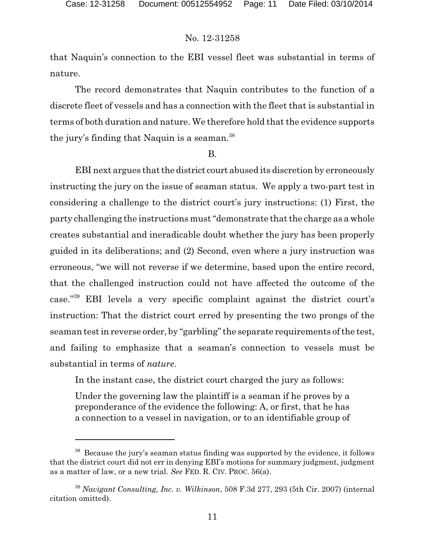that Naquin's connection to the EBI vessel fleet was substantial in terms of nature.

The record demonstrates that Naquin contributes to the function of a discrete fleet of vessels and has a connection with the fleet that is substantial in terms of both duration and nature. We therefore hold that the evidence supports the jury's finding that Naquin is a seaman.<sup>38</sup>

#### B.

EBI next argues that the district court abused its discretion by erroneously instructing the jury on the issue of seaman status. We apply a two-part test in considering a challenge to the district court's jury instructions: (1) First, the party challenging the instructions must "demonstrate that the charge as a whole creates substantial and ineradicable doubt whether the jury has been properly guided in its deliberations; and (2) Second, even where a jury instruction was erroneous, "we will not reverse if we determine, based upon the entire record, that the challenged instruction could not have affected the outcome of the case."<sup>39</sup> EBI levels a very specific complaint against the district court's instruction: That the district court erred by presenting the two prongs of the seaman test in reverse order, by "garbling" the separate requirements of the test, and failing to emphasize that a seaman's connection to vessels must be substantial in terms of *nature*.

In the instant case, the district court charged the jury as follows:

Under the governing law the plaintiff is a seaman if he proves by a preponderance of the evidence the following: A, or first, that he has a connection to a vessel in navigation, or to an identifiable group of

<sup>38</sup> Because the jury's seaman status finding was supported by the evidence, it follows that the district court did not err in denying EBI's motions for summary judgment, judgment as a matter of law, or a new trial. *See* FED. R. CIV. PROC. 56(a).

<sup>39</sup> *Navigant Consulting, Inc. v. Wilkinson*, 508 F.3d 277, 293 (5th Cir. 2007) (internal citation omitted).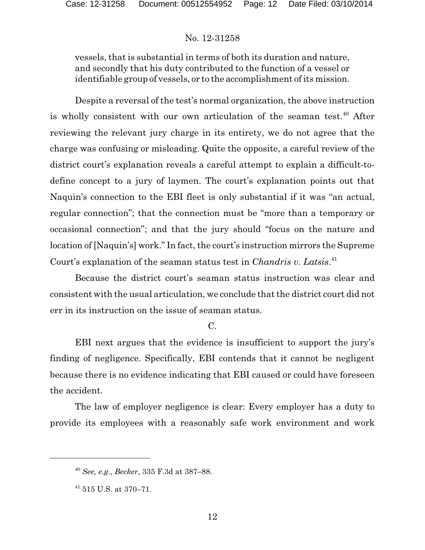vessels, that is substantial in terms of both its duration and nature, and secondly that his duty contributed to the function of a vessel or identifiable group of vessels, or to the accomplishment of its mission.

Despite a reversal of the test's normal organization, the above instruction is wholly consistent with our own articulation of the seaman test.<sup>40</sup> After reviewing the relevant jury charge in its entirety, we do not agree that the charge was confusing or misleading. Quite the opposite, a careful review of the district court's explanation reveals a careful attempt to explain a difficult-todefine concept to a jury of laymen. The court's explanation points out that Naquin's connection to the EBI fleet is only substantial if it was "an actual, regular connection"; that the connection must be "more than a temporary or occasional connection"; and that the jury should "focus on the nature and location of [Naquin's] work." In fact, the court's instruction mirrors the Supreme Court's explanation of the seaman status test in *Chandris v. Latsis*. 41

Because the district court's seaman status instruction was clear and consistent with the usual articulation, we conclude that the district court did not err in its instruction on the issue of seaman status.

## $\overline{C}$ .

EBI next argues that the evidence is insufficient to support the jury's finding of negligence. Specifically, EBI contends that it cannot be negligent because there is no evidence indicating that EBI caused or could have foreseen the accident.

The law of employer negligence is clear: Every employer has a duty to provide its employees with a reasonably safe work environment and work

<sup>40</sup> *See, e.g.*, *Becker*, 335 F.3d at 387–88.

 $41$  515 U.S. at 370–71.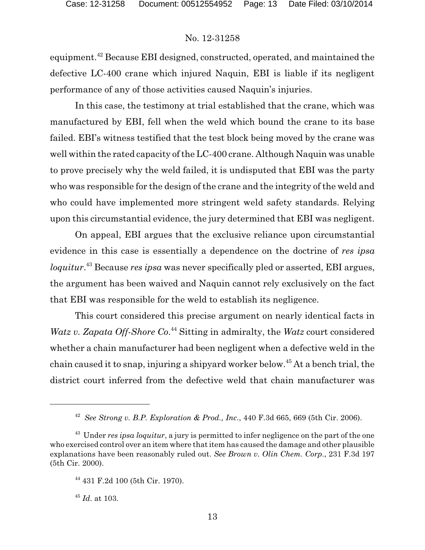equipment.<sup>42</sup> Because EBI designed, constructed, operated, and maintained the defective LC-400 crane which injured Naquin, EBI is liable if its negligent performance of any of those activities caused Naquin's injuries.

In this case, the testimony at trial established that the crane, which was manufactured by EBI, fell when the weld which bound the crane to its base failed. EBI's witness testified that the test block being moved by the crane was well within the rated capacity of the LC-400 crane. Although Naquin was unable to prove precisely why the weld failed, it is undisputed that EBI was the party who was responsible for the design of the crane and the integrity of the weld and who could have implemented more stringent weld safety standards. Relying upon this circumstantial evidence, the jury determined that EBI was negligent.

On appeal, EBI argues that the exclusive reliance upon circumstantial evidence in this case is essentially a dependence on the doctrine of *res ipsa loquitur*. <sup>43</sup> Because *res ipsa* was never specifically pled or asserted, EBI argues, the argument has been waived and Naquin cannot rely exclusively on the fact that EBI was responsible for the weld to establish its negligence.

This court considered this precise argument on nearly identical facts in *Watz v. Zapata Off-Shore Co*. <sup>44</sup> Sitting in admiralty, the *Watz* court considered whether a chain manufacturer had been negligent when a defective weld in the chain caused it to snap, injuring a shipyard worker below.<sup>45</sup> At a bench trial, the district court inferred from the defective weld that chain manufacturer was

<sup>42</sup> *See Strong v. B.P. Exploration & Prod., Inc*., 440 F.3d 665, 669 (5th Cir. 2006).

<sup>43</sup> Under *res ipsa loquitur*, a jury is permitted to infer negligence on the part of the one who exercised control over an item where that item has caused the damage and other plausible explanations have been reasonably ruled out. *See Brown v. Olin Chem. Corp*., 231 F.3d 197 (5th Cir. 2000).

<sup>44</sup> 431 F.2d 100 (5th Cir. 1970).

<sup>45</sup> *Id*. at 103.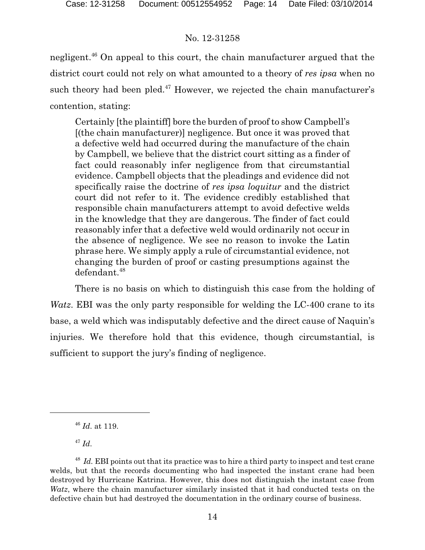negligent.<sup>46</sup> On appeal to this court, the chain manufacturer argued that the district court could not rely on what amounted to a theory of *res ipsa* when no such theory had been pled. $47$  However, we rejected the chain manufacturer's contention, stating:

Certainly [the plaintiff] bore the burden of proof to show Campbell's [(the chain manufacturer)] negligence. But once it was proved that a defective weld had occurred during the manufacture of the chain by Campbell, we believe that the district court sitting as a finder of fact could reasonably infer negligence from that circumstantial evidence. Campbell objects that the pleadings and evidence did not specifically raise the doctrine of *res ipsa loquitur* and the district court did not refer to it. The evidence credibly established that responsible chain manufacturers attempt to avoid defective welds in the knowledge that they are dangerous. The finder of fact could reasonably infer that a defective weld would ordinarily not occur in the absence of negligence. We see no reason to invoke the Latin phrase here. We simply apply a rule of circumstantial evidence, not changing the burden of proof or casting presumptions against the defendant.<sup>48</sup>

There is no basis on which to distinguish this case from the holding of *Watz*. EBI was the only party responsible for welding the LC-400 crane to its base, a weld which was indisputably defective and the direct cause of Naquin's injuries. We therefore hold that this evidence, though circumstantial, is sufficient to support the jury's finding of negligence.

47 *Id*.

<sup>46</sup> *Id*. at 119.

<sup>&</sup>lt;sup>48</sup> Id. EBI points out that its practice was to hire a third party to inspect and test crane welds, but that the records documenting who had inspected the instant crane had been destroyed by Hurricane Katrina. However, this does not distinguish the instant case from *Watz*, where the chain manufacturer similarly insisted that it had conducted tests on the defective chain but had destroyed the documentation in the ordinary course of business.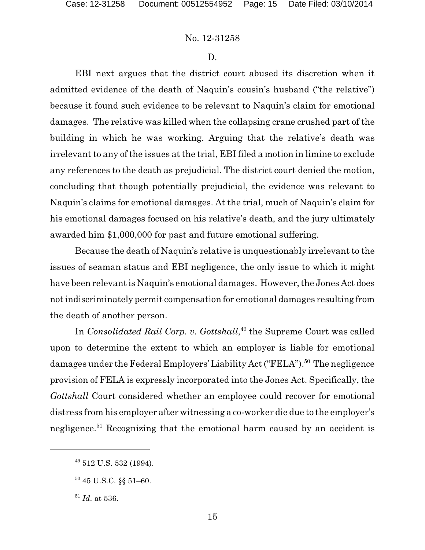#### D.

EBI next argues that the district court abused its discretion when it admitted evidence of the death of Naquin's cousin's husband ("the relative") because it found such evidence to be relevant to Naquin's claim for emotional damages. The relative was killed when the collapsing crane crushed part of the building in which he was working. Arguing that the relative's death was irrelevant to any of the issues at the trial, EBI filed a motion in limine to exclude any references to the death as prejudicial. The district court denied the motion, concluding that though potentially prejudicial, the evidence was relevant to Naquin's claims for emotional damages. At the trial, much of Naquin's claim for his emotional damages focused on his relative's death, and the jury ultimately awarded him \$1,000,000 for past and future emotional suffering.

Because the death of Naquin's relative is unquestionably irrelevant to the issues of seaman status and EBI negligence, the only issue to which it might have been relevant is Naquin's emotional damages. However, the Jones Act does not indiscriminately permit compensation for emotional damages resulting from the death of another person.

In *Consolidated Rail Corp. v. Gottshall*, 49 the Supreme Court was called upon to determine the extent to which an employer is liable for emotional damages under the Federal Employers' Liability Act ("FELA").<sup>50</sup> The negligence provision of FELA is expressly incorporated into the Jones Act. Specifically, the *Gottshall* Court considered whether an employee could recover for emotional distress from his employer after witnessing a co-worker die due to the employer's negligence.<sup>51</sup> Recognizing that the emotional harm caused by an accident is

<sup>&</sup>lt;sup>49</sup> 512 U.S. 532 (1994).

<sup>50</sup> 45 U.S.C. §§ 51–60.

<sup>51</sup> *Id*. at 536.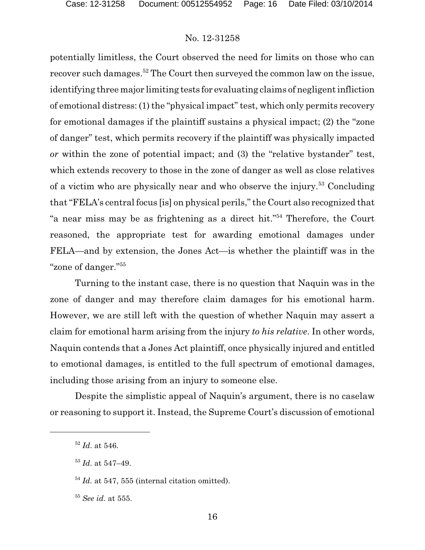potentially limitless, the Court observed the need for limits on those who can recover such damages.<sup>52</sup> The Court then surveyed the common law on the issue, identifying three major limiting tests for evaluating claims of negligent infliction of emotional distress: (1) the "physical impact" test, which only permits recovery for emotional damages if the plaintiff sustains a physical impact; (2) the "zone of danger" test, which permits recovery if the plaintiff was physically impacted *or* within the zone of potential impact; and (3) the "relative bystander" test, which extends recovery to those in the zone of danger as well as close relatives of a victim who are physically near and who observe the injury.<sup>53</sup> Concluding that "FELA's central focus [is] on physical perils," the Court also recognized that "a near miss may be as frightening as a direct hit."<sup>54</sup> Therefore, the Court reasoned, the appropriate test for awarding emotional damages under FELA—and by extension, the Jones Act—is whether the plaintiff was in the "zone of danger."<sup>55</sup>

Turning to the instant case, there is no question that Naquin was in the zone of danger and may therefore claim damages for his emotional harm. However, we are still left with the question of whether Naquin may assert a claim for emotional harm arising from the injury *to his relative*. In other words, Naquin contends that a Jones Act plaintiff, once physically injured and entitled to emotional damages, is entitled to the full spectrum of emotional damages, including those arising from an injury to someone else.

Despite the simplistic appeal of Naquin's argument, there is no caselaw or reasoning to support it. Instead, the Supreme Court's discussion of emotional

<sup>52</sup> *Id*. at 546.

<sup>53</sup> *Id*. at 547–49.

<sup>54</sup> *Id*. at 547, 555 (internal citation omitted).

<sup>55</sup> *See id*. at 555.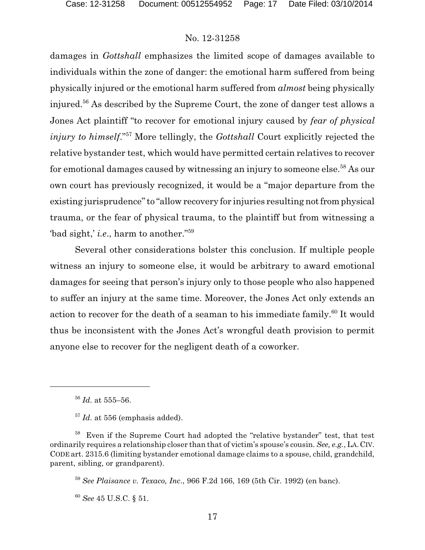damages in *Gottshall* emphasizes the limited scope of damages available to individuals within the zone of danger: the emotional harm suffered from being physically injured or the emotional harm suffered from *almost* being physically injured.<sup>56</sup> As described by the Supreme Court, the zone of danger test allows a Jones Act plaintiff "to recover for emotional injury caused by *fear of physical injury to himself*." <sup>57</sup> More tellingly, the *Gottshall* Court explicitly rejected the relative bystander test, which would have permitted certain relatives to recover for emotional damages caused by witnessing an injury to someone else.<sup>58</sup> As our own court has previously recognized, it would be a "major departure from the existing jurisprudence" to "allow recovery for injuries resulting not from physical trauma, or the fear of physical trauma, to the plaintiff but from witnessing a 'bad sight,' *i.e*., harm to another."<sup>59</sup>

Several other considerations bolster this conclusion. If multiple people witness an injury to someone else, it would be arbitrary to award emotional damages for seeing that person's injury only to those people who also happened to suffer an injury at the same time. Moreover, the Jones Act only extends an action to recover for the death of a seaman to his immediate family.<sup>60</sup> It would thus be inconsistent with the Jones Act's wrongful death provision to permit anyone else to recover for the negligent death of a coworker.

<sup>59</sup> *See Plaisance v. Texaco, Inc*., 966 F.2d 166, 169 (5th Cir. 1992) (en banc).

<sup>60</sup> *See* 45 U.S.C. § 51.

<sup>56</sup> *Id*. at 555–56.

<sup>&</sup>lt;sup>57</sup> Id. at 556 (emphasis added).

<sup>58</sup> Even if the Supreme Court had adopted the "relative bystander" test, that test ordinarily requires a relationship closer than that of victim's spouse's cousin. *See, e.g.*, LA.CIV. CODE art. 2315.6 (limiting bystander emotional damage claims to a spouse, child, grandchild, parent, sibling, or grandparent).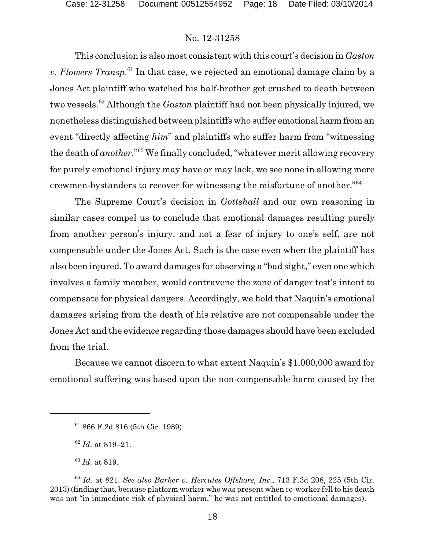This conclusion is also most consistent with this court's decision in *Gaston v. Flowers Transp*. 61 In that case, we rejected an emotional damage claim by a Jones Act plaintiff who watched his half-brother get crushed to death between two vessels.<sup>62</sup> Although the *Gaston* plaintiff had not been physically injured, we nonetheless distinguished between plaintiffs who suffer emotional harm from an event "directly affecting *him*" and plaintiffs who suffer harm from "witnessing the death of *another*."<sup>63</sup> We finally concluded, "whatever merit allowing recovery for purely emotional injury may have or may lack, we see none in allowing mere crewmen-bystanders to recover for witnessing the misfortune of another."<sup>64</sup>

The Supreme Court's decision in *Gottshall* and our own reasoning in similar cases compel us to conclude that emotional damages resulting purely from another person's injury, and not a fear of injury to one's self, are not compensable under the Jones Act. Such is the case even when the plaintiff has also been injured. To award damages for observing a "bad sight," even one which involves a family member, would contravene the zone of danger test's intent to compensate for physical dangers. Accordingly, we hold that Naquin's emotional damages arising from the death of his relative are not compensable under the Jones Act and the evidence regarding those damages should have been excluded from the trial.

Because we cannot discern to what extent Naquin's \$1,000,000 award for emotional suffering was based upon the non-compensable harm caused by the

<sup>61</sup> 866 F.2d 816 (5th Cir. 1989).

<sup>62</sup> *Id*. at 819–21.

<sup>63</sup> *Id*. at 819.

<sup>64</sup> *Id.* at 821. *See also Barker v. Hercules Offshore, Inc*., 713 F.3d 208, 225 (5th Cir. 2013) (finding that, because platform worker who was present when co-worker fell to his death was not "in immediate risk of physical harm," he was not entitled to emotional damages).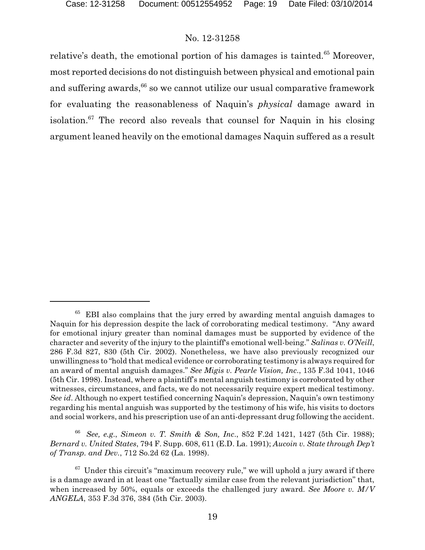relative's death, the emotional portion of his damages is tainted.<sup>65</sup> Moreover, most reported decisions do not distinguish between physical and emotional pain and suffering awards, $^{66}$  so we cannot utilize our usual comparative framework for evaluating the reasonableness of Naquin's *physical* damage award in isolation.<sup>67</sup> The record also reveals that counsel for Naquin in his closing argument leaned heavily on the emotional damages Naquin suffered as a result

<sup>66</sup> *See, e.g*., *Simeon v. T. Smith & Son, Inc*., 852 F.2d 1421, 1427 (5th Cir. 1988); *Bernard v. United States*, 794 F. Supp. 608, 611 (E.D. La. 1991); *Aucoin v. State through Dep't of Transp. and Dev.*, 712 So.2d 62 (La. 1998).

 $65$  EBI also complains that the jury erred by awarding mental anguish damages to Naquin for his depression despite the lack of corroborating medical testimony. "Any award for emotional injury greater than nominal damages must be supported by evidence of the character and severity of the injury to the plaintiff's emotional well-being." *Salinas v. O'Neill*, 286 F.3d 827, 830 (5th Cir. 2002). Nonetheless, we have also previously recognized our unwillingness to "hold that medical evidence or corroborating testimony is always required for an award of mental anguish damages." *See Migis v. Pearle Vision, Inc*., 135 F.3d 1041, 1046 (5th Cir. 1998). Instead, where a plaintiff's mental anguish testimony is corroborated by other witnesses, circumstances, and facts, we do not necessarily require expert medical testimony. *See id*. Although no expert testified concerning Naquin's depression, Naquin's own testimony regarding his mental anguish was supported by the testimony of his wife, his visits to doctors and social workers, and his prescription use of an anti-depressant drug following the accident.

 $67$  Under this circuit's "maximum recovery rule," we will uphold a jury award if there is a damage award in at least one "factually similar case from the relevant jurisdiction" that, when increased by 50%, equals or exceeds the challenged jury award. *See Moore v. M/V ANGELA*, 353 F.3d 376, 384 (5th Cir. 2003).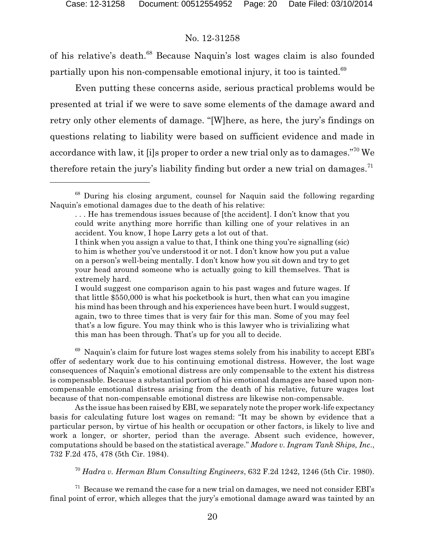of his relative's death.<sup>68</sup> Because Naquin's lost wages claim is also founded partially upon his non-compensable emotional injury, it too is tainted.<sup>69</sup>

Even putting these concerns aside, serious practical problems would be presented at trial if we were to save some elements of the damage award and retry only other elements of damage. "[W]here, as here, the jury's findings on questions relating to liability were based on sufficient evidence and made in accordance with law, it [i]s proper to order a new trial only as to damages."<sup>70</sup> We therefore retain the jury's liability finding but order a new trial on damages.<sup>71</sup>

 $69$  Naquin's claim for future lost wages stems solely from his inability to accept EBI's offer of sedentary work due to his continuing emotional distress. However, the lost wage consequences of Naquin's emotional distress are only compensable to the extent his distress is compensable. Because a substantial portion of his emotional damages are based upon noncompensable emotional distress arising from the death of his relative, future wages lost because of that non-compensable emotional distress are likewise non-compensable.

As the issue has been raised by EBI, we separately note the proper work-life expectancy basis for calculating future lost wages on remand: "It may be shown by evidence that a particular person, by virtue of his health or occupation or other factors, is likely to live and work a longer, or shorter, period than the average. Absent such evidence, however, computations should be based on the statistical average." *Madore v. Ingram Tank Ships, Inc*., 732 F.2d 475, 478 (5th Cir. 1984).

<sup>70</sup> *Hadra v. Herman Blum Consulting Engineers*, 632 F.2d 1242, 1246 (5th Cir. 1980).

 $71$  Because we remand the case for a new trial on damages, we need not consider EBI's final point of error, which alleges that the jury's emotional damage award was tainted by an

<sup>68</sup> During his closing argument, counsel for Naquin said the following regarding Naquin's emotional damages due to the death of his relative:

<sup>. .</sup> . He has tremendous issues because of [the accident]. I don't know that you could write anything more horrific than killing one of your relatives in an accident. You know, I hope Larry gets a lot out of that.

I think when you assign a value to that, I think one thing you're signalling (sic) to him is whether you've understood it or not. I don't know how you put a value on a person's well-being mentally. I don't know how you sit down and try to get your head around someone who is actually going to kill themselves. That is extremely hard.

I would suggest one comparison again to his past wages and future wages. If that little \$550,000 is what his pocketbook is hurt, then what can you imagine his mind has been through and his experiences have been hurt. I would suggest, again, two to three times that is very fair for this man. Some of you may feel that's a low figure. You may think who is this lawyer who is trivializing what this man has been through. That's up for you all to decide.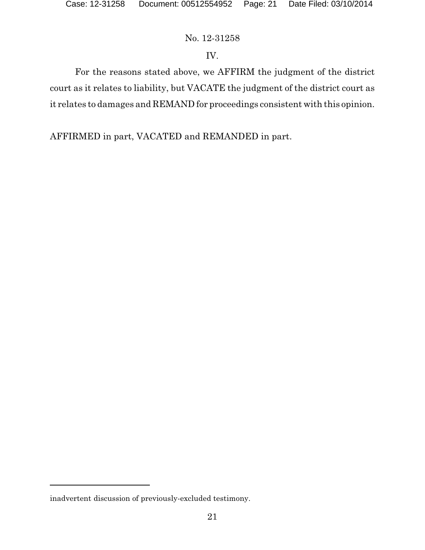# IV.

For the reasons stated above, we AFFIRM the judgment of the district court as it relates to liability, but VACATE the judgment of the district court as it relates to damages and REMAND for proceedings consistent with this opinion.

AFFIRMED in part, VACATED and REMANDED in part.

inadvertent discussion of previously-excluded testimony.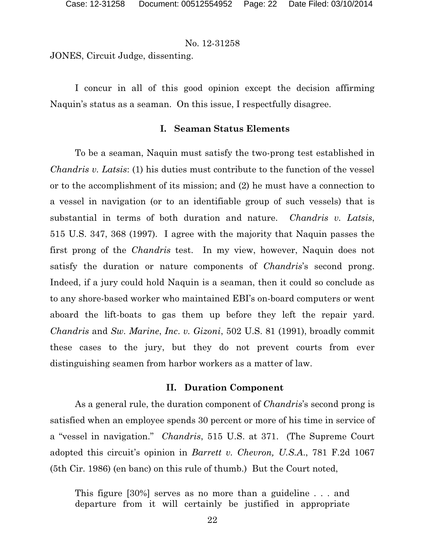JONES, Circuit Judge, dissenting.

I concur in all of this good opinion except the decision affirming Naquin's status as a seaman. On this issue, I respectfully disagree.

### **I. Seaman Status Elements**

To be a seaman, Naquin must satisfy the two-prong test established in *Chandris v. Latsis*: (1) his duties must contribute to the function of the vessel or to the accomplishment of its mission; and (2) he must have a connection to a vessel in navigation (or to an identifiable group of such vessels) that is substantial in terms of both duration and nature. *Chandris v. Latsis*, 515 U.S. 347, 368 (1997). I agree with the majority that Naquin passes the first prong of the *Chandris* test. In my view, however, Naquin does not satisfy the duration or nature components of *Chandris*'s second prong. Indeed, if a jury could hold Naquin is a seaman, then it could so conclude as to any shore-based worker who maintained EBI's on-board computers or went aboard the lift-boats to gas them up before they left the repair yard. *Chandris* and *Sw. Marine*, *Inc*. *v. Gizoni*, 502 U.S. 81 (1991), broadly commit these cases to the jury, but they do not prevent courts from ever distinguishing seamen from harbor workers as a matter of law.

## **II. Duration Component**

As a general rule, the duration component of *Chandris*'s second prong is satisfied when an employee spends 30 percent or more of his time in service of a "vessel in navigation." *Chandris*, 515 U.S. at 371. (The Supreme Court adopted this circuit's opinion in *Barrett v. Chevron, U.S.A*., 781 F.2d 1067 (5th Cir. 1986) (en banc) on this rule of thumb.) But the Court noted,

This figure [30%] serves as no more than a guideline . . . and departure from it will certainly be justified in appropriate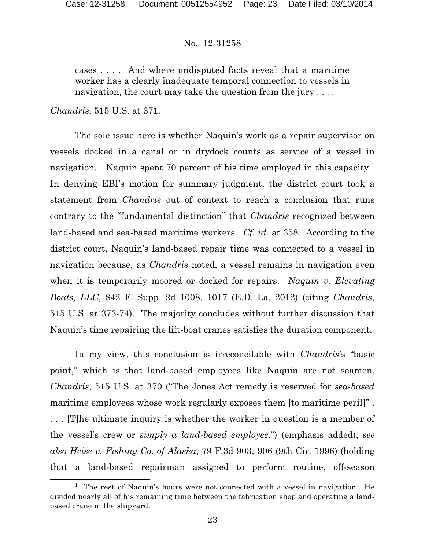cases . . . . And where undisputed facts reveal that a maritime worker has a clearly inadequate temporal connection to vessels in navigation, the court may take the question from the jury ....

*Chandris*, 515 U.S. at 371.

The sole issue here is whether Naquin's work as a repair supervisor on vessels docked in a canal or in drydock counts as service of a vessel in navigation. Naquin spent 70 percent of his time employed in this capacity.<sup>1</sup> In denying EBI's motion for summary judgment, the district court took a statement from *Chandris* out of context to reach a conclusion that runs contrary to the "fundamental distinction" that *Chandris* recognized between land-based and sea-based maritime workers. *Cf. id.* at 358. According to the district court, Naquin's land-based repair time was connected to a vessel in navigation because, as *Chandris* noted, a vessel remains in navigation even when it is temporarily moored or docked for repairs. *Naquin v. Elevating Boats, LLC*, 842 F. Supp. 2d 1008, 1017 (E.D. La. 2012) (citing *Chandris*, 515 U.S. at 373-74). The majority concludes without further discussion that Naquin's time repairing the lift-boat cranes satisfies the duration component.

In my view, this conclusion is irreconcilable with *Chandris*'s "basic point," which is that land-based employees like Naquin are not seamen. *Chandris*, 515 U.S. at 370 ("The Jones Act remedy is reserved for *sea-based* maritime employees whose work regularly exposes them [to maritime peril]". . . . [T]he ultimate inquiry is whether the worker in question is a member of the vessel's crew or *simply a land-based employee*.") (emphasis added); *see also Heise v. Fishing Co. of Alaska*, 79 F.3d 903, 906 (9th Cir. 1996) (holding that a land-based repairman assigned to perform routine, off-season

<sup>&</sup>lt;sup>1</sup> The rest of Naquin's hours were not connected with a vessel in navigation. He divided nearly all of his remaining time between the fabrication shop and operating a landbased crane in the shipyard.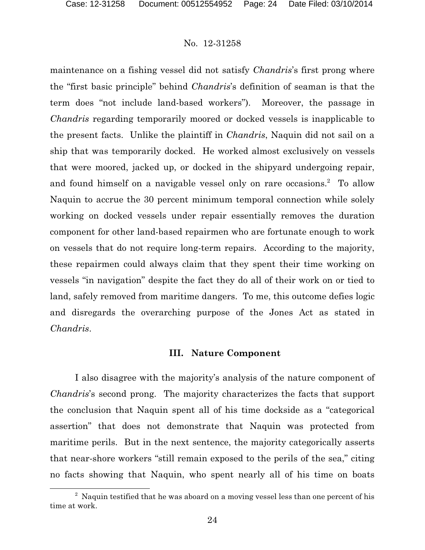maintenance on a fishing vessel did not satisfy *Chandris*'s first prong where the "first basic principle" behind *Chandris*'s definition of seaman is that the term does "not include land-based workers"). Moreover, the passage in *Chandris* regarding temporarily moored or docked vessels is inapplicable to the present facts. Unlike the plaintiff in *Chandris*, Naquin did not sail on a ship that was temporarily docked. He worked almost exclusively on vessels that were moored, jacked up, or docked in the shipyard undergoing repair, and found himself on a navigable vessel only on rare occasions.<sup>2</sup> To allow Naquin to accrue the 30 percent minimum temporal connection while solely working on docked vessels under repair essentially removes the duration component for other land-based repairmen who are fortunate enough to work on vessels that do not require long-term repairs. According to the majority, these repairmen could always claim that they spent their time working on vessels "in navigation" despite the fact they do all of their work on or tied to land, safely removed from maritime dangers. To me, this outcome defies logic and disregards the overarching purpose of the Jones Act as stated in *Chandris*.

#### **III. Nature Component**

I also disagree with the majority's analysis of the nature component of *Chandris*'s second prong. The majority characterizes the facts that support the conclusion that Naquin spent all of his time dockside as a "categorical assertion" that does not demonstrate that Naquin was protected from maritime perils. But in the next sentence, the majority categorically asserts that near-shore workers "still remain exposed to the perils of the sea," citing no facts showing that Naquin, who spent nearly all of his time on boats

<sup>&</sup>lt;sup>2</sup> Naquin testified that he was aboard on a moving vessel less than one percent of his time at work.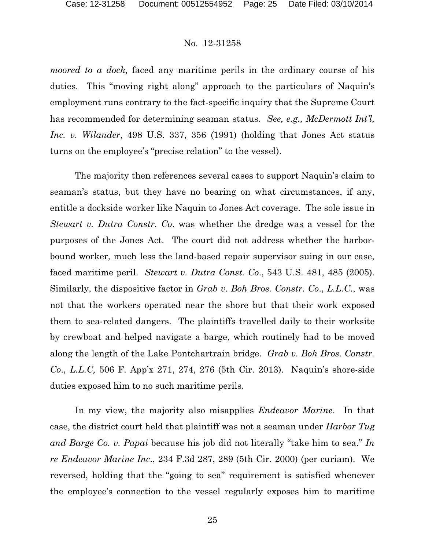*moored to a dock*, faced any maritime perils in the ordinary course of his duties. This "moving right along" approach to the particulars of Naquin's employment runs contrary to the fact-specific inquiry that the Supreme Court has recommended for determining seaman status. *See, e.g., McDermott Int'l, Inc. v. Wilander*, 498 U.S. 337, 356 (1991) (holding that Jones Act status turns on the employee's "precise relation" to the vessel).

The majority then references several cases to support Naquin's claim to seaman's status, but they have no bearing on what circumstances, if any, entitle a dockside worker like Naquin to Jones Act coverage. The sole issue in *Stewart v. Dutra Constr. Co*. was whether the dredge was a vessel for the purposes of the Jones Act. The court did not address whether the harborbound worker, much less the land-based repair supervisor suing in our case, faced maritime peril. *Stewart v. Dutra Const. Co*., 543 U.S. 481, 485 (2005). Similarly, the dispositive factor in *Grab v. Boh Bros. Constr. Co*., *L.L.C*., was not that the workers operated near the shore but that their work exposed them to sea-related dangers. The plaintiffs travelled daily to their worksite by crewboat and helped navigate a barge, which routinely had to be moved along the length of the Lake Pontchartrain bridge. *Grab v. Boh Bros. Constr. Co*., *L.L.C,* 506 F. App'x 271, 274, 276 (5th Cir. 2013). Naquin's shore-side duties exposed him to no such maritime perils.

In my view, the majority also misapplies *Endeavor Marine*. In that case, the district court held that plaintiff was not a seaman under *Harbor Tug and Barge Co. v. Papai* because his job did not literally "take him to sea." *In re Endeavor Marine Inc*., 234 F.3d 287, 289 (5th Cir. 2000) (per curiam). We reversed, holding that the "going to sea" requirement is satisfied whenever the employee's connection to the vessel regularly exposes him to maritime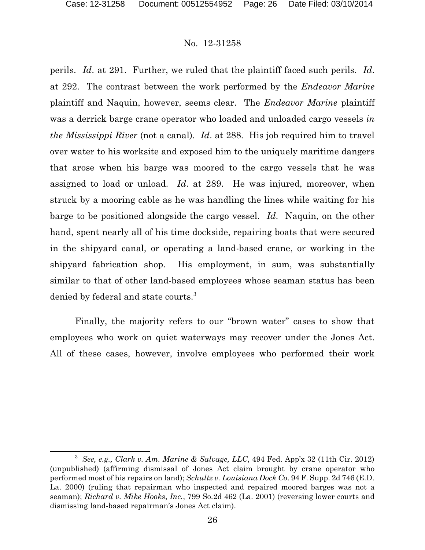perils. *Id*. at 291. Further, we ruled that the plaintiff faced such perils. *Id*. at 292. The contrast between the work performed by the *Endeavor Marine* plaintiff and Naquin, however, seems clear. The *Endeavor Marine* plaintiff was a derrick barge crane operator who loaded and unloaded cargo vessels *in the Mississippi River* (not a canal). *Id*. at 288. His job required him to travel over water to his worksite and exposed him to the uniquely maritime dangers that arose when his barge was moored to the cargo vessels that he was assigned to load or unload. *Id*. at 289. He was injured, moreover, when struck by a mooring cable as he was handling the lines while waiting for his barge to be positioned alongside the cargo vessel. *Id*. Naquin, on the other hand, spent nearly all of his time dockside, repairing boats that were secured in the shipyard canal, or operating a land-based crane, or working in the shipyard fabrication shop. His employment, in sum, was substantially similar to that of other land-based employees whose seaman status has been denied by federal and state courts.<sup>3</sup>

Finally, the majority refers to our "brown water" cases to show that employees who work on quiet waterways may recover under the Jones Act. All of these cases, however, involve employees who performed their work

<sup>3</sup> *See, e.g., Clark v. Am. Marine & Salvage, LLC*, 494 Fed. App'x 32 (11th Cir. 2012) (unpublished) (affirming dismissal of Jones Act claim brought by crane operator who performed most of his repairs on land); *Schultz v. Louisiana Dock Co*. 94 F. Supp. 2d 746 (E.D. La. 2000) (ruling that repairman who inspected and repaired moored barges was not a seaman); *Richard v. Mike Hooks*, *Inc.*, 799 So.2d 462 (La. 2001) (reversing lower courts and dismissing land-based repairman's Jones Act claim).